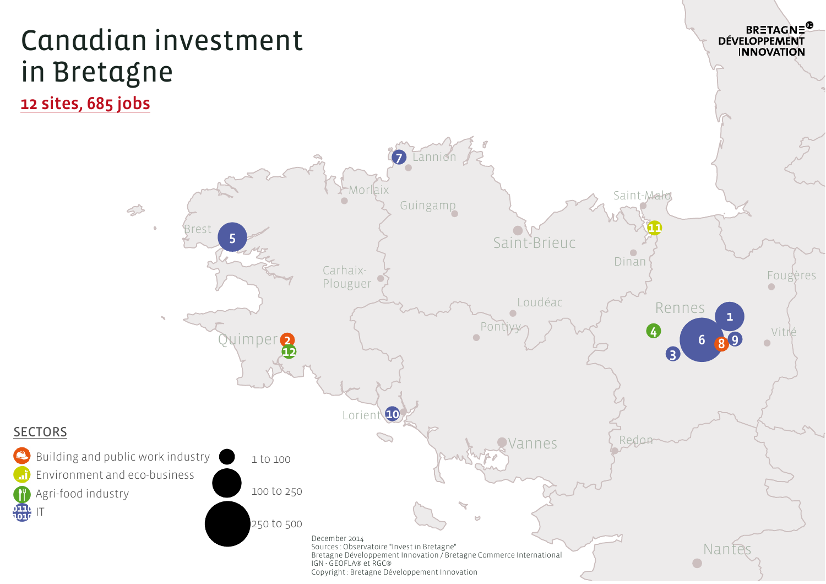